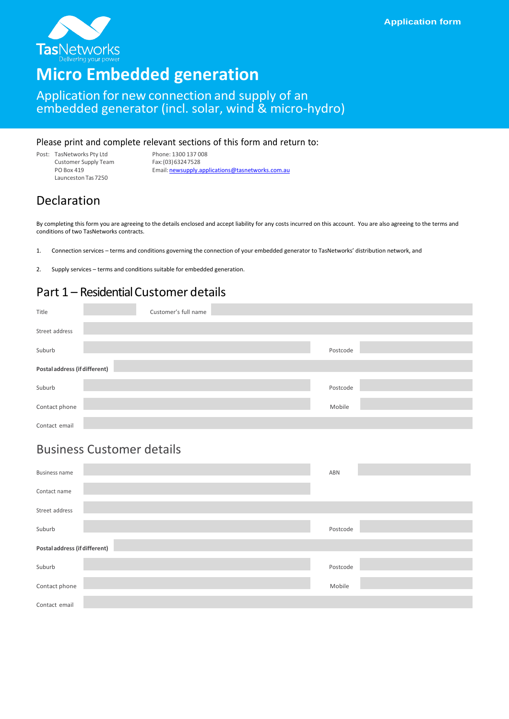

# **Micro Embedded generation**

#### Application for new connection and supply of an embedded generator (incl. solar, wind & micro-hydro)

#### Please print and complete relevant sections of this form and return to:

Post: TasNetworks Pty Ltd Phone: 1300 137 008<br>Customer Supply Team Fax: (03) 6324 7528 Customer Supply Team<br>PO Box 419 Launceston Tas7250

Email: [newsupply.applications@tasnetworks.com.au](mailto:newsupply.applications@tasnetworks.com.au)

### Declaration

By completing this form you are agreeing to the details enclosed and accept liability for any costs incurred on this account. You are also agreeing to the terms and conditions of two TasNetworks contracts.

1. Connection services – terms and conditions governing the connection of your embedded generator to TasNetworks' distribution network, and

2. Supply services – terms and conditions suitable for embedded generation.

### Part 1 – Residential Customer details

| Title                         | Customer's full name |          |  |
|-------------------------------|----------------------|----------|--|
| Street address                |                      |          |  |
| Suburb                        |                      | Postcode |  |
| Postal address (if different) |                      |          |  |
| Suburb                        |                      | Postcode |  |
| Contact phone                 |                      | Mobile   |  |
| Contact email                 |                      |          |  |

#### Business Customer details

| <b>Business name</b>          | ABN      |
|-------------------------------|----------|
| Contact name                  |          |
| Street address                |          |
| Suburb                        | Postcode |
| Postal address (if different) |          |
| Suburb                        | Postcode |
| Contact phone                 | Mobile   |
| Contact email                 |          |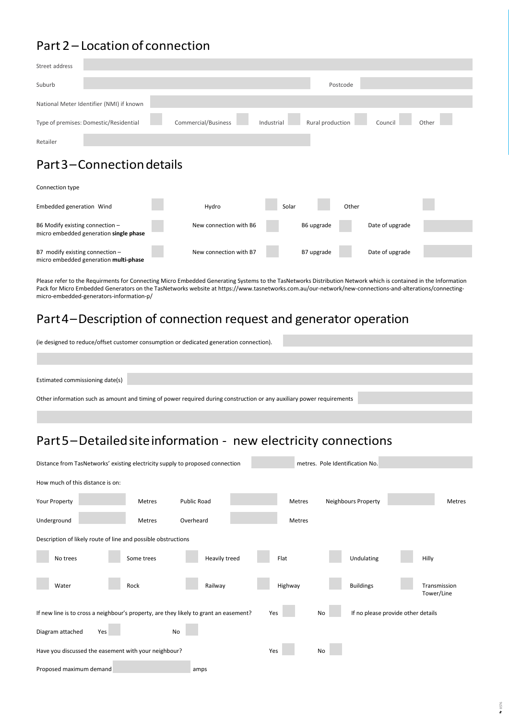## Part 2 – Location of connection

| Street address  |                                          |                                   |                               |                          |         |                                   |
|-----------------|------------------------------------------|-----------------------------------|-------------------------------|--------------------------|---------|-----------------------------------|
| Suburb          |                                          |                                   |                               | Postcode                 |         |                                   |
|                 | National Meter Identifier (NMI) if known |                                   |                               |                          |         |                                   |
|                 | Type of premises: Domestic/Residential   | Commercial/Business               | Industrial                    | Rural production         | Council | Other                             |
| Retailer        |                                          |                                   |                               |                          |         |                                   |
|                 | Part 3 – Connection details              |                                   |                               |                          |         |                                   |
| Connection type |                                          |                                   |                               |                          |         |                                   |
|                 |                                          | <b>Contract Contract Contract</b> | the company of the company of | the contract of the con- |         | <b>Contract Contract Contract</b> |

| Embedded generation Wind                                                   | Hydro                  | Solar |            | Other |                 |  |
|----------------------------------------------------------------------------|------------------------|-------|------------|-------|-----------------|--|
| B6 Modify existing connection -<br>micro embedded generation single phase  | New connection with B6 |       | B6 upgrade |       | Date of upgrade |  |
| B7 modify existing connection $-$<br>micro embedded generation multi-phase | New connection with B7 |       | B7 upgrade |       | Date of upgrade |  |

Please refer to the Requirments for Connecting Micro Embedded Generating Systems to the TasNetworks Distribution Network which is contained in the Information Pack for Micro Embedded Generators on the TasNetworks website at https://www.tasnetworks.com.au/our-network/new-connections-and-alterations/connectingmicro-embedded-generators-information-p/

#### Part4–Description of connection request and generator operation

| (ie designed to reduce/offset customer consumption or dedicated generation connection). |  |
|-----------------------------------------------------------------------------------------|--|
|                                                                                         |  |

Estimated commissioning date(s)

Other information such as amount and timing of power required during construction or any auxiliary power requirements

## Part5–Detailedsiteinformation - new electricity connections

| Distance from TasNetworks' existing electricity supply to proposed connection<br>metres. Pole Identification No. |            |                    |         |                     |                                    |
|------------------------------------------------------------------------------------------------------------------|------------|--------------------|---------|---------------------|------------------------------------|
| How much of this distance is on:                                                                                 |            |                    |         |                     |                                    |
| Your Property                                                                                                    | Metres     | <b>Public Road</b> | Metres  | Neighbours Property | Metres                             |
| Underground                                                                                                      | Metres     | Overheard          | Metres  |                     |                                    |
| Description of likely route of line and possible obstructions                                                    |            |                    |         |                     |                                    |
| No trees                                                                                                         | Some trees | Heavily treed      | Flat    | Undulating          | Hilly                              |
| Water                                                                                                            | Rock       | Railway            | Highway | <b>Buildings</b>    | Transmission<br>Tower/Line         |
| If new line is to cross a neighbour's property, are they likely to grant an easement?                            |            |                    | Yes     | No                  | If no please provide other details |
| Diagram attached<br>Yes                                                                                          | No         |                    |         |                     |                                    |
| Have you discussed the easement with your neighbour?                                                             |            |                    | Yes     | No                  |                                    |
| Proposed maximum demand                                                                                          |            | amps               |         |                     |                                    |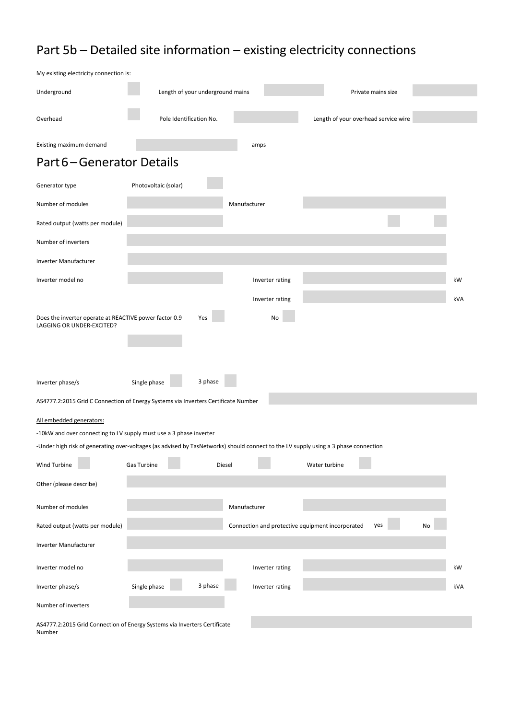# Part 5b – Detailed site information – existing electricity connections

| My existing electricity connection is:                                              |                                                                                                                                     |     |
|-------------------------------------------------------------------------------------|-------------------------------------------------------------------------------------------------------------------------------------|-----|
| Underground                                                                         | Length of your underground mains<br>Private mains size                                                                              |     |
| Overhead                                                                            | Pole Identification No.<br>Length of your overhead service wire                                                                     |     |
| Existing maximum demand                                                             | amps                                                                                                                                |     |
| Part 6-Generator Details                                                            |                                                                                                                                     |     |
| Generator type                                                                      | Photovoltaic (solar)                                                                                                                |     |
| Number of modules                                                                   | Manufacturer                                                                                                                        |     |
| Rated output (watts per module)                                                     |                                                                                                                                     |     |
| Number of inverters                                                                 |                                                                                                                                     |     |
| Inverter Manufacturer                                                               |                                                                                                                                     |     |
| Inverter model no                                                                   | Inverter rating                                                                                                                     | kW  |
|                                                                                     | Inverter rating                                                                                                                     | kVA |
| Does the inverter operate at REACTIVE power factor 0.9<br>LAGGING OR UNDER-EXCITED? | Yes<br>No                                                                                                                           |     |
| Inverter phase/s                                                                    | 3 phase<br>Single phase<br>AS4777.2:2015 Grid C Connection of Energy Systems via Inverters Certificate Number                       |     |
| All embedded generators:                                                            |                                                                                                                                     |     |
|                                                                                     | -10kW and over connecting to LV supply must use a 3 phase inverter                                                                  |     |
|                                                                                     | -Under high risk of generating over-voltages (as advised by TasNetworks) should connect to the LV supply using a 3 phase connection |     |
| <b>Wind Turbine</b>                                                                 | Gas Turbine<br>Diesel<br>Water turbine                                                                                              |     |
| Other (please describe)                                                             |                                                                                                                                     |     |
| Number of modules                                                                   | Manufacturer                                                                                                                        |     |
| Rated output (watts per module)                                                     | Connection and protective equipment incorporated<br>yes<br>No                                                                       |     |
| Inverter Manufacturer                                                               |                                                                                                                                     |     |
| Inverter model no                                                                   | Inverter rating                                                                                                                     | kW  |
| Inverter phase/s                                                                    | 3 phase<br>Single phase<br>Inverter rating                                                                                          | kVA |
| Number of inverters                                                                 |                                                                                                                                     |     |
|                                                                                     | AS4777.2:2015 Grid Connection of Energy Systems via Inverters Certificate                                                           |     |

Number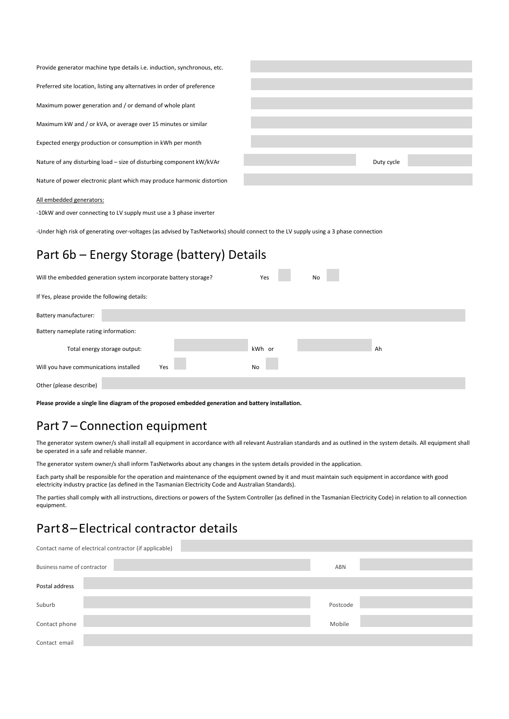| Provide generator machine type details <i>i.e.</i> induction, synchronous, etc. |            |
|---------------------------------------------------------------------------------|------------|
| Preferred site location, listing any alternatives in order of preference        |            |
| Maximum power generation and / or demand of whole plant                         |            |
| Maximum kW and / or kVA, or average over 15 minutes or similar                  |            |
| Expected energy production or consumption in kWh per month                      |            |
| Nature of any disturbing load - size of disturbing component kW/kVAr            | Duty cycle |
| Nature of power electronic plant which may produce harmonic distortion          |            |
| All embedded generators:                                                        |            |

-10kW and over connecting to LV supply must use a 3 phase inverter

-Under high risk of generating over-voltages (as advised by TasNetworks) should connect to the LV supply using a 3 phase connection

## Part 6b – Energy Storage (battery) Details

| Will the embedded generation system incorporate battery storage? |  | Yes    | No |    |  |  |
|------------------------------------------------------------------|--|--------|----|----|--|--|
| If Yes, please provide the following details:                    |  |        |    |    |  |  |
| Battery manufacturer:                                            |  |        |    |    |  |  |
| Battery nameplate rating information:                            |  |        |    |    |  |  |
| Total energy storage output:                                     |  | kWh or |    | Ah |  |  |
| Will you have communications installed<br>Yes                    |  | No     |    |    |  |  |
| Other (please describe)                                          |  |        |    |    |  |  |

**Please provide a single line diagram of the proposed embedded generation and battery installation.**

### Part 7 – Connection equipment

The generator system owner/s shall install all equipment in accordance with all relevant Australian standards and as outlined in the system details. All equipment shall be operated in a safe and reliable manner.

The generator system owner/s shall inform TasNetworks about any changes in the system details provided in the application.

Each party shall be responsible for the operation and maintenance of the equipment owned by it and must maintain such equipment in accordance with good electricity industry practice (as defined in the Tasmanian Electricity Code and Australian Standards).

The parties shall comply with all instructions, directions or powers of the System Controller (as defined in the Tasmanian Electricity Code) in relation to all connection equipment.

## Part8–Electrical contractor details

| Contact name of electrical contractor (if applicable) |            |
|-------------------------------------------------------|------------|
| Business name of contractor                           | <b>ABN</b> |
| Postal address                                        |            |
| Suburb                                                | Postcode   |
| Contact phone                                         | Mobile     |
| Contact email                                         |            |